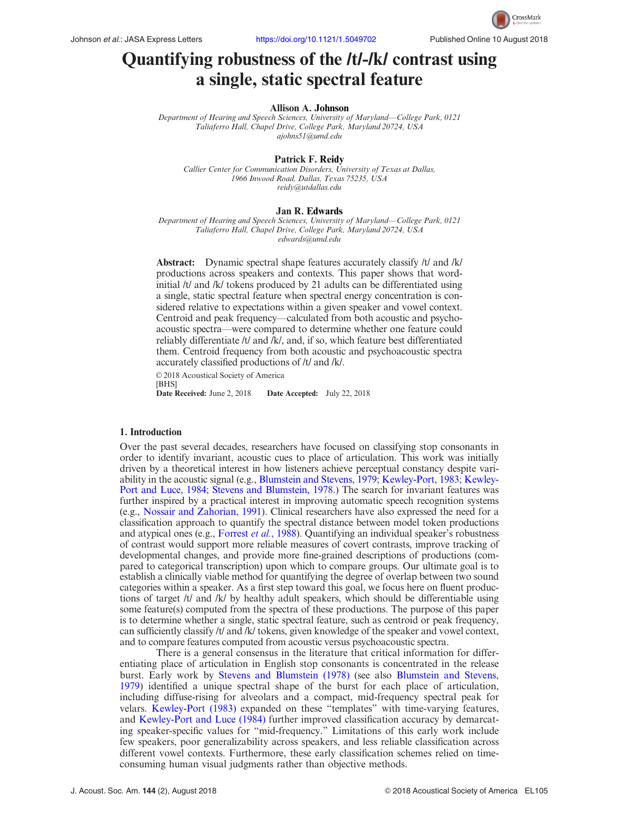

# Quantifying robustness of the /t/-/k/ contrast using a single, static spectral feature

#### Allison A. Johnson

Department of Hearing and Speech Sciences, University of Maryland—College Park, 0121 Taliaferro Hall, Chapel Drive, College Park, Maryland 20724, USA [ajohns51@umd.edu](mailto:ajohns51@umd.edu)

## Patrick F. Reidy

Callier Center for Communication Disorders, University of Texas at Dallas, 1966 Inwood Road, Dallas, Texas 75235, USA [reidy@utdallas.edu](mailto:reidy@utdallas.edu)

#### Jan R. Edwards

Department of Hearing and Speech Sciences, University of Maryland—College Park, 0121 Taliaferro Hall, Chapel Drive, College Park, Maryland 20724, USA [edwards@umd.edu](mailto:edwards@umd.edu)

Abstract: Dynamic spectral shape features accurately classify /t/ and /k/ productions across speakers and contexts. This paper shows that wordinitial /t/ and /k/ tokens produced by 21 adults can be differentiated using a single, static spectral feature when spectral energy concentration is considered relative to expectations within a given speaker and vowel context. Centroid and peak frequency—calculated from both acoustic and psychoacoustic spectra—were compared to determine whether one feature could reliably differentiate /t/ and /k/, and, if so, which feature best differentiated them. Centroid frequency from both acoustic and psychoacoustic spectra accurately classified productions of /t/ and /k/.

 $© 2018$  Acoustical Society of America [BHS]<br>Date Received: June 2, 2018 Date Accepted: July 22, 2018

## 1. Introduction

Over the past several decades, researchers have focused on classifying stop consonants in order to identify invariant, acoustic cues to place of articulation. This work was initially driven by a theoretical interest in how listeners achieve perceptual constancy despite variability in the acoustic signal (e.g., [Blumstein and Stevens, 1979;](#page-6-0) [Kewley-Port, 1983](#page-6-0); [Kewley-](#page-6-0)[Port and Luce, 1984](#page-6-0); [Stevens and Blumstein, 1978](#page-6-0).) The search for invariant features was further inspired by a practical interest in improving automatic speech recognition systems (e.g., [Nossair and Zahorian, 1991\)](#page-6-0). Clinical researchers have also expressed the need for a classification approach to quantify the spectral distance between model token productions and atypical ones (e.g., [Forrest](#page-6-0) et al., 1988). Quantifying an individual speaker's robustness of contrast would support more reliable measures of covert contrasts, improve tracking of developmental changes, and provide more fine-grained descriptions of productions (compared to categorical transcription) upon which to compare groups. Our ultimate goal is to establish a clinically viable method for quantifying the degree of overlap between two sound categories within a speaker. As a first step toward this goal, we focus here on fluent productions of target /t/ and /k/ by healthy adult speakers, which should be differentiable using some feature(s) computed from the spectra of these productions. The purpose of this paper is to determine whether a single, static spectral feature, such as centroid or peak frequency, can sufficiently classify /t/ and /k/ tokens, given knowledge of the speaker and vowel context, and to compare features computed from acoustic versus psychoacoustic spectra.

There is a general consensus in the literature that critical information for differentiating place of articulation in English stop consonants is concentrated in the release burst. Early work by [Stevens and Blumstein \(1978\)](#page-6-0) (see also [Blumstein and Stevens,](#page-6-0) [1979](#page-6-0)) identified a unique spectral shape of the burst for each place of articulation, including diffuse-rising for alveolars and a compact, mid-frequency spectral peak for velars. [Kewley-Port \(1983\)](#page-6-0) expanded on these "templates" with time-varying features, and [Kewley-Port and Luce \(1984\)](#page-6-0) further improved classification accuracy by demarcating speaker-specific values for "mid-frequency." Limitations of this early work include few speakers, poor generalizability across speakers, and less reliable classification across different vowel contexts. Furthermore, these early classification schemes relied on timeconsuming human visual judgments rather than objective methods.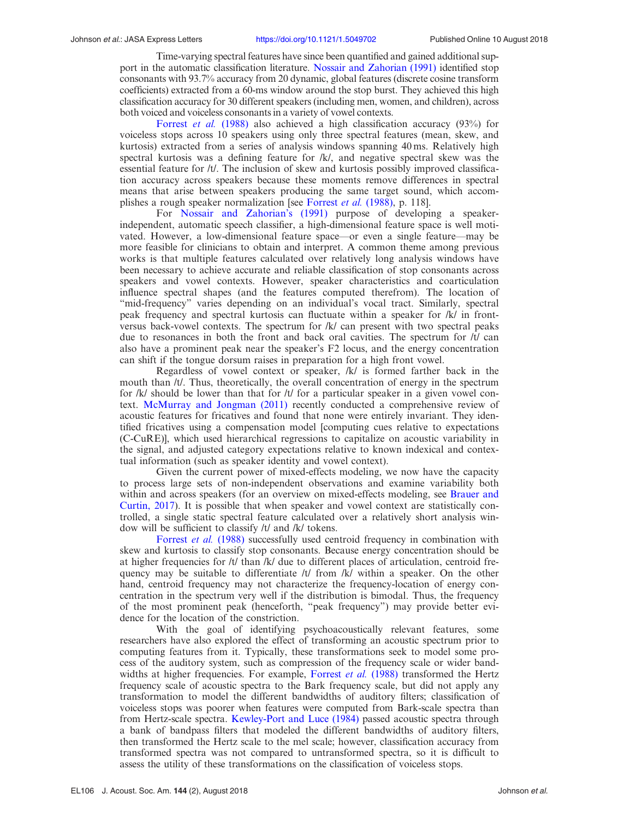Time-varying spectral features have since been quantified and gained additional support in the automatic classification literature. [Nossair and Zahorian \(1991\)](#page-6-0) identified stop consonants with 93.7% accuracy from 20 dynamic, global features (discrete cosine transform coefficients) extracted from a 60-ms window around the stop burst. They achieved this high classification accuracy for 30 different speakers (including men, women, and children), across both voiced and voiceless consonants in a variety of vowel contexts.

[Forrest](#page-6-0) et al. (1988) also achieved a high classification accuracy (93%) for voiceless stops across 10 speakers using only three spectral features (mean, skew, and kurtosis) extracted from a series of analysis windows spanning 40 ms. Relatively high spectral kurtosis was a defining feature for /k/, and negative spectral skew was the essential feature for /t/. The inclusion of skew and kurtosis possibly improved classification accuracy across speakers because these moments remove differences in spectral means that arise between speakers producing the same target sound, which accom-plishes a rough speaker normalization [see [Forrest](#page-6-0) et al. (1988), p. 118].

For [Nossair and Zahorian's \(1991\)](#page-6-0) purpose of developing a speakerindependent, automatic speech classifier, a high-dimensional feature space is well motivated. However, a low-dimensional feature space—or even a single feature—may be more feasible for clinicians to obtain and interpret. A common theme among previous works is that multiple features calculated over relatively long analysis windows have been necessary to achieve accurate and reliable classification of stop consonants across speakers and vowel contexts. However, speaker characteristics and coarticulation influence spectral shapes (and the features computed therefrom). The location of "mid-frequency" varies depending on an individual's vocal tract. Similarly, spectral peak frequency and spectral kurtosis can fluctuate within a speaker for /k/ in frontversus back-vowel contexts. The spectrum for /k/ can present with two spectral peaks due to resonances in both the front and back oral cavities. The spectrum for  $/t/$  can also have a prominent peak near the speaker's F2 locus, and the energy concentration can shift if the tongue dorsum raises in preparation for a high front vowel.

Regardless of vowel context or speaker, /k/ is formed farther back in the mouth than /t/. Thus, theoretically, the overall concentration of energy in the spectrum for /k/ should be lower than that for /t/ for a particular speaker in a given vowel context. [McMurray and Jongman \(2011\)](#page-6-0) recently conducted a comprehensive review of acoustic features for fricatives and found that none were entirely invariant. They identified fricatives using a compensation model [computing cues relative to expectations (C-CuRE)], which used hierarchical regressions to capitalize on acoustic variability in the signal, and adjusted category expectations relative to known indexical and contextual information (such as speaker identity and vowel context).

Given the current power of mixed-effects modeling, we now have the capacity to process large sets of non-independent observations and examine variability both within and across speakers (for an overview on mixed-effects modeling, see [Brauer and](#page-6-0) [Curtin, 2017\)](#page-6-0). It is possible that when speaker and vowel context are statistically controlled, a single static spectral feature calculated over a relatively short analysis window will be sufficient to classify /t/ and /k/ tokens.

[Forrest](#page-6-0) et al. (1988) successfully used centroid frequency in combination with skew and kurtosis to classify stop consonants. Because energy concentration should be at higher frequencies for  $/t/$  than  $/k/$  due to different places of articulation, centroid frequency may be suitable to differentiate  $/t$  from  $/k$  within a speaker. On the other hand, centroid frequency may not characterize the frequency-location of energy concentration in the spectrum very well if the distribution is bimodal. Thus, the frequency of the most prominent peak (henceforth, "peak frequency") may provide better evidence for the location of the constriction.

With the goal of identifying psychoacoustically relevant features, some researchers have also explored the effect of transforming an acoustic spectrum prior to computing features from it. Typically, these transformations seek to model some process of the auditory system, such as compression of the frequency scale or wider band-widths at higher frequencies. For example, [Forrest](#page-6-0) et al. (1988) transformed the Hertz frequency scale of acoustic spectra to the Bark frequency scale, but did not apply any transformation to model the different bandwidths of auditory filters; classification of voiceless stops was poorer when features were computed from Bark-scale spectra than from Hertz-scale spectra. [Kewley-Port and Luce \(1984\)](#page-6-0) passed acoustic spectra through a bank of bandpass filters that modeled the different bandwidths of auditory filters, then transformed the Hertz scale to the mel scale; however, classification accuracy from transformed spectra was not compared to untransformed spectra, so it is difficult to assess the utility of these transformations on the classification of voiceless stops.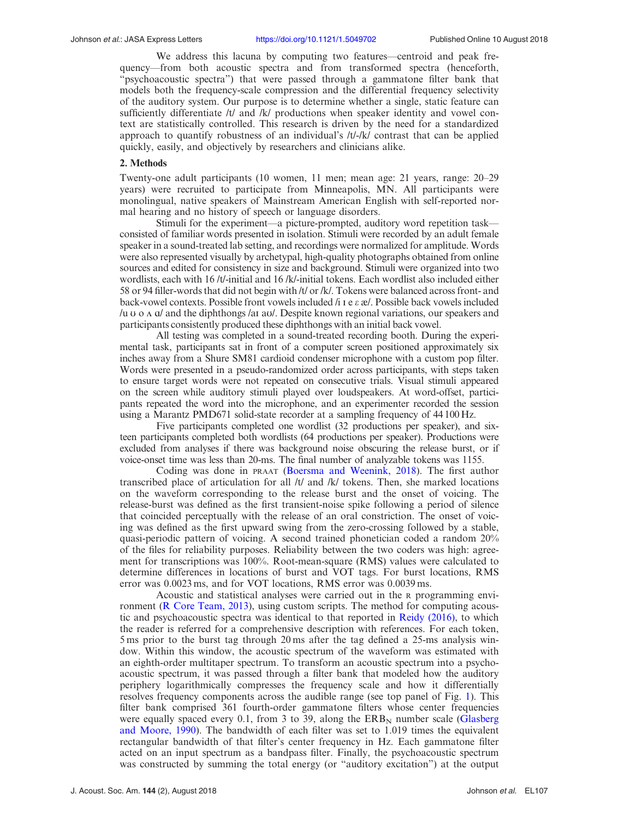We address this lacuna by computing two features—centroid and peak frequency—from both acoustic spectra and from transformed spectra (henceforth, "psychoacoustic spectra") that were passed through a gammatone filter bank that models both the frequency-scale compression and the differential frequency selectivity of the auditory system. Our purpose is to determine whether a single, static feature can sufficiently differentiate /t/ and /k/ productions when speaker identity and vowel context are statistically controlled. This research is driven by the need for a standardized approach to quantify robustness of an individual's /t/-/k/ contrast that can be applied quickly, easily, and objectively by researchers and clinicians alike.

# 2. Methods

Twenty-one adult participants (10 women, 11 men; mean age: 21 years, range: 20–29 years) were recruited to participate from Minneapolis, MN. All participants were monolingual, native speakers of Mainstream American English with self-reported normal hearing and no history of speech or language disorders.

Stimuli for the experiment—a picture-prompted, auditory word repetition task consisted of familiar words presented in isolation. Stimuli were recorded by an adult female speaker in a sound-treated lab setting, and recordings were normalized for amplitude. Words were also represented visually by archetypal, high-quality photographs obtained from online sources and edited for consistency in size and background. Stimuli were organized into two wordlists, each with 16 /t/-initial and 16 /k/-initial tokens. Each wordlist also included either 58 or 94 filler-words that did not begin with /t/ or /k/. Tokens were balanced across front- and back-vowel contexts. Possible front vowels included /i I e  $\varepsilon \mathcal{E}$ /. Possible back vowels included  $\mu$ u o  $\alpha$  a) and the diphthongs /ai au/. Despite known regional variations, our speakers and participants consistently produced these diphthongs with an initial back vowel.

All testing was completed in a sound-treated recording booth. During the experimental task, participants sat in front of a computer screen positioned approximately six inches away from a Shure SM81 cardioid condenser microphone with a custom pop filter. Words were presented in a pseudo-randomized order across participants, with steps taken to ensure target words were not repeated on consecutive trials. Visual stimuli appeared on the screen while auditory stimuli played over loudspeakers. At word-offset, participants repeated the word into the microphone, and an experimenter recorded the session using a Marantz PMD671 solid-state recorder at a sampling frequency of 44 100 Hz.

Five participants completed one wordlist (32 productions per speaker), and sixteen participants completed both wordlists (64 productions per speaker). Productions were excluded from analyses if there was background noise obscuring the release burst, or if voice-onset time was less than 20-ms. The final number of analyzable tokens was 1155.

Coding was done in PRAAT [\(Boersma and Weenink, 2018\)](#page-6-0). The first author transcribed place of articulation for all /t/ and /k/ tokens. Then, she marked locations on the waveform corresponding to the release burst and the onset of voicing. The release-burst was defined as the first transient-noise spike following a period of silence that coincided perceptually with the release of an oral constriction. The onset of voicing was defined as the first upward swing from the zero-crossing followed by a stable, quasi-periodic pattern of voicing. A second trained phonetician coded a random 20% of the files for reliability purposes. Reliability between the two coders was high: agreement for transcriptions was 100%. Root-mean-square (RMS) values were calculated to determine differences in locations of burst and VOT tags. For burst locations, RMS error was 0.0023 ms, and for VOT locations, RMS error was 0.0039 ms.

Acoustic and statistical analyses were carried out in the <sup>R</sup> programming environment ([R Core Team, 2013\)](#page-6-0), using custom scripts. The method for computing acoustic and psychoacoustic spectra was identical to that reported in [Reidy \(2016\),](#page-6-0) to which the reader is referred for a comprehensive description with references. For each token, 5 ms prior to the burst tag through 20 ms after the tag defined a 25-ms analysis window. Within this window, the acoustic spectrum of the waveform was estimated with an eighth-order multitaper spectrum. To transform an acoustic spectrum into a psychoacoustic spectrum, it was passed through a filter bank that modeled how the auditory periphery logarithmically compresses the frequency scale and how it differentially resolves frequency components across the audible range (see top panel of Fig. [1](#page-3-0)). This filter bank comprised 361 fourth-order gammatone filters whose center frequencies were equally spaced every 0.1, from 3 to 39, along the  $ERB<sub>N</sub>$  number scale [\(Glasberg](#page-6-0) [and Moore, 1990\)](#page-6-0). The bandwidth of each filter was set to 1.019 times the equivalent rectangular bandwidth of that filter's center frequency in Hz. Each gammatone filter acted on an input spectrum as a bandpass filter. Finally, the psychoacoustic spectrum was constructed by summing the total energy (or "auditory excitation") at the output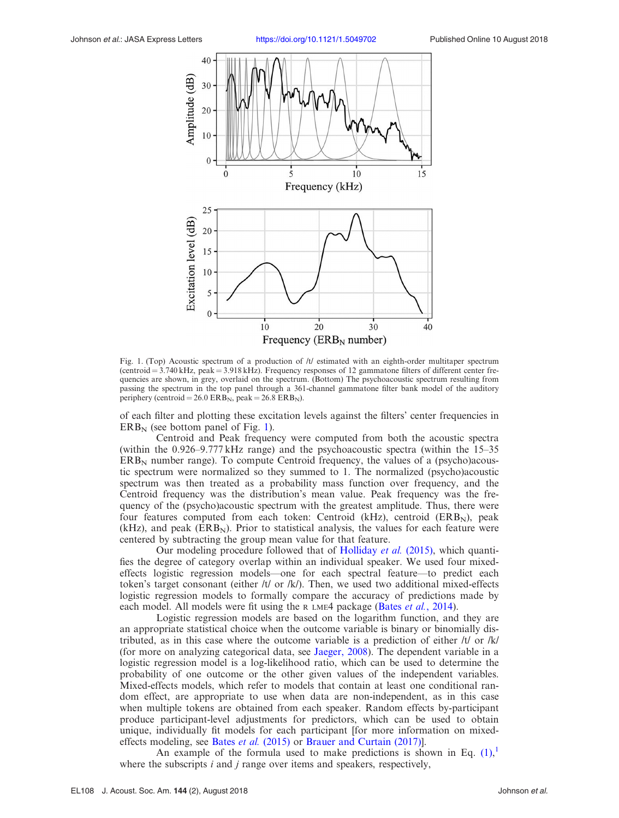<span id="page-3-0"></span>

Fig. 1. (Top) Acoustic spectrum of a production of /t/ estimated with an eighth-order multitaper spectrum (centroid  $= 3.740 \text{ kHz}$ , peak  $= 3.918 \text{ kHz}$ ). Frequency responses of 12 gammatone filters of different center frequencies are shown, in grey, overlaid on the spectrum. (Bottom) The psychoacoustic spectrum resulting from passing the spectrum in the top panel through a 361-channel gammatone filter bank model of the auditory periphery (centroid = 26.0 ERB<sub>N</sub>, peak = 26.8 ERB<sub>N</sub>).

of each filter and plotting these excitation levels against the filters' center frequencies in  $ERB_N$  (see bottom panel of Fig. 1).

Centroid and Peak frequency were computed from both the acoustic spectra (within the 0.926–9.777 kHz range) and the psychoacoustic spectra (within the 15–35  $ERB<sub>N</sub>$  number range). To compute Centroid frequency, the values of a (psycho)acoustic spectrum were normalized so they summed to 1. The normalized (psycho)acoustic spectrum was then treated as a probability mass function over frequency, and the Centroid frequency was the distribution's mean value. Peak frequency was the frequency of the (psycho)acoustic spectrum with the greatest amplitude. Thus, there were four features computed from each token: Centroid (kHz), centroid (ERB<sub>N</sub>), peak  $(kHz)$ , and peak  $(ERB<sub>N</sub>)$ . Prior to statistical analysis, the values for each feature were centered by subtracting the group mean value for that feature.

Our modeling procedure followed that of [Holliday](#page-6-0) et al. (2015), which quantifies the degree of category overlap within an individual speaker. We used four mixedeffects logistic regression models—one for each spectral feature—to predict each token's target consonant (either /t/ or /k/). Then, we used two additional mixed-effects logistic regression models to formally compare the accuracy of predictions made by each model. All models were fit using the R LME4 package (Bates et al.[, 2014\)](#page-6-0).

Logistic regression models are based on the logarithm function, and they are an appropriate statistical choice when the outcome variable is binary or binomially distributed, as in this case where the outcome variable is a prediction of either  $/t/$  or  $/k/$ (for more on analyzing categorical data, see [Jaeger, 2008\)](#page-6-0). The dependent variable in a logistic regression model is a log-likelihood ratio, which can be used to determine the probability of one outcome or the other given values of the independent variables. Mixed-effects models, which refer to models that contain at least one conditional random effect, are appropriate to use when data are non-independent, as in this case when multiple tokens are obtained from each speaker. Random effects by-participant produce participant-level adjustments for predictors, which can be used to obtain unique, individually fit models for each participant [for more information on mixedeffects modeling, see Bates *et al.* [\(2015\)](#page-6-0) or Brauer and Curtain (2017).

An example of the formula used to make predictions is shown in Eq.  $(1)$  $(1)$  $(1)$ , where the subscripts  $i$  and  $j$  range over items and speakers, respectively,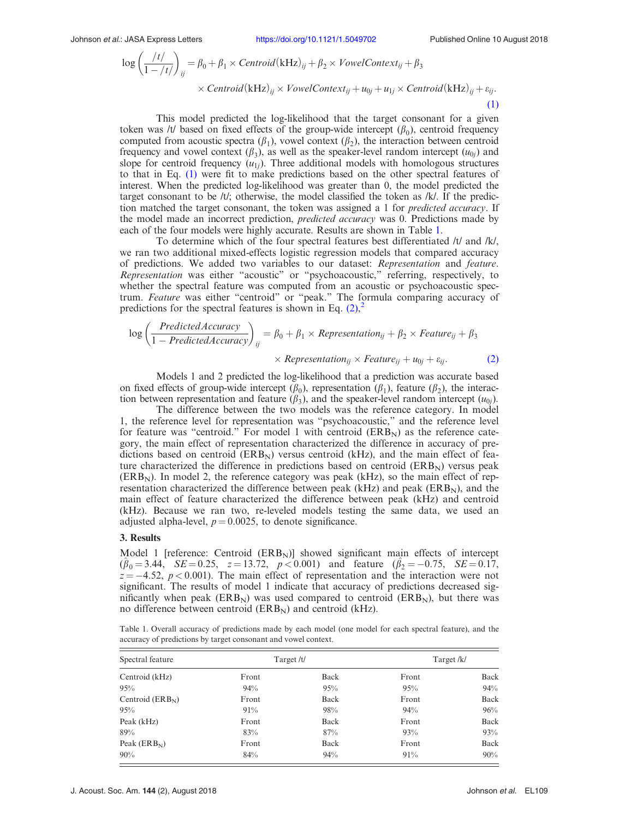<span id="page-4-0"></span>
$$
\log\left(\frac{t}{1 - t/\tau}\right)_{ij} = \beta_0 + \beta_1 \times Centroid(kHz)_{ij} + \beta_2 \times VowelContext_{ij} + \beta_3
$$
  
× Centroid(kHz)\_{ij} × VowelContext\_{ij} + u\_{0j} + u\_{1j} \times Centroid(kHz)\_{ij} + \varepsilon\_{ij}. (1)

This model predicted the log-likelihood that the target consonant for a given token was /t/ based on fixed effects of the group-wide intercept  $(\beta_0)$ , centroid frequency computed from acoustic spectra  $(\beta_1)$ , vowel context  $(\beta_2)$ , the interaction between centroid frequency and vowel context  $(\beta_3)$ , as well as the speaker-level random intercept  $(u_{0j})$  and slope for centroid frequency  $(u_{1i})$ . Three additional models with homologous structures to that in Eq. [\(1\)](#page-3-0) were fit to make predictions based on the other spectral features of interest. When the predicted log-likelihood was greater than 0, the model predicted the target consonant to be /t/; otherwise, the model classified the token as /k/. If the prediction matched the target consonant, the token was assigned a 1 for *predicted accuracy*. If the model made an incorrect prediction, *predicted accuracy* was 0. Predictions made by each of the four models were highly accurate. Results are shown in Table 1.

To determine which of the four spectral features best differentiated /t/ and /k/, we ran two additional mixed-effects logistic regression models that compared accuracy of predictions. We added two variables to our dataset: Representation and feature. Representation was either "acoustic" or "psychoacoustic," referring, respectively, to whether the spectral feature was computed from an acoustic or psychoacoustic spectrum. Feature was either "centroid" or "peak." The formula comparing accuracy of predictions for the spectral features is shown in Eq.  $(2)$  $(2)$  $(2)$ ,<sup>2</sup>

$$
\log\left(\frac{PredictedAccuracy}{1-PredictedAccuracy}\right)_{ij} = \beta_0 + \beta_1 \times Representation_{ij} + \beta_2 \times Feature_{ij} + \beta_3
$$

$$
\times Representation_{ij} \times Feature_{ij} + u_{0j} + \varepsilon_{ij}.
$$
 (2)

Models 1 and 2 predicted the log-likelihood that a prediction was accurate based on fixed effects of group-wide intercept  $(\beta_0)$ , representation  $(\beta_1)$ , feature  $(\beta_2)$ , the interaction between representation and feature  $(\beta_3)$ , and the speaker-level random intercept  $(u_{0j})$ .

The difference between the two models was the reference category. In model 1, the reference level for representation was "psychoacoustic," and the reference level for feature was "centroid." For model 1 with centroid  $(ERB<sub>N</sub>)$  as the reference category, the main effect of representation characterized the difference in accuracy of predictions based on centroid  $(ERB<sub>N</sub>)$  versus centroid (kHz), and the main effect of feature characterized the difference in predictions based on centroid  $(ERB<sub>N</sub>)$  versus peak  $(ERB<sub>N</sub>)$ . In model 2, the reference category was peak (kHz), so the main effect of representation characterized the difference between peak ( $k$ Hz) and peak ( $ERB<sub>N</sub>$ ), and the main effect of feature characterized the difference between peak (kHz) and centroid (kHz). Because we ran two, re-leveled models testing the same data, we used an adjusted alpha-level,  $p = 0.0025$ , to denote significance.

# 3. Results

Model 1 [reference: Centroid  $(ERB<sub>N</sub>)$ ] showed significant main effects of intercept  $(\hat{\beta}_0 = 3.44, \text{ } SE = 0.25, \text{ } z = 13.72, \text{ } p < 0.001) \text{ and feature } (\hat{\beta}_2 = -0.75, \text{ } SE = 0.17,$  $z = -4.52$ ,  $p < 0.001$ ). The main effect of representation and the interaction were not significant. The results of model 1 indicate that accuracy of predictions decreased significantly when peak  $(ERB<sub>N</sub>)$  was used compared to centroid  $(ERB<sub>N</sub>)$ , but there was no difference between centroid  $(ERB<sub>N</sub>)$  and centroid (kHz).

Table 1. Overall accuracy of predictions made by each model (one model for each spectral feature), and the accuracy of predictions by target consonant and vowel context.

| Spectral feature<br>Centroid (kHz) | Target /t/ |      | Target/k/ |        |
|------------------------------------|------------|------|-----------|--------|
|                                    | Front      | Back | Front     | Back   |
| 95%                                | 94%        | 95%  | 95%       | 94%    |
| Centroid $(ERBN)$                  | Front      | Back | Front     | Back   |
| 95%                                | 91%        | 98%  | 94%       | 96%    |
| Peak (kHz)                         | Front      | Back | Front     | Back   |
| 89%                                | 83%        | 87%  | 93%       | 93%    |
| Peak $(ERB_N)$                     | Front      | Back | Front     | Back   |
| $90\%$                             | 84%        | 94%  | 91%       | $90\%$ |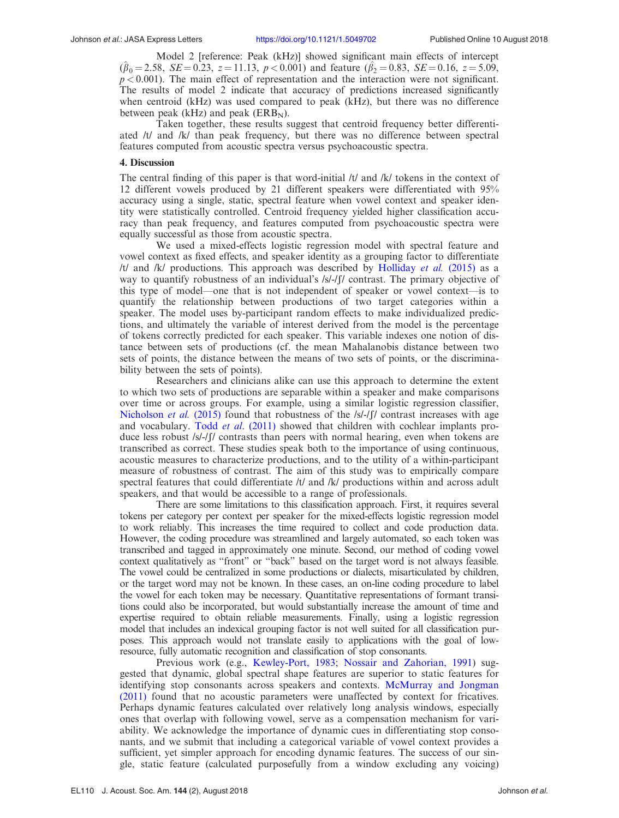Model 2 [reference: Peak (kHz)] showed significant main effects of intercept  $(\hat{\beta}_0 = 2.58, \, SE = 0.23, \, z = 11.13, \, p < 0.001)$  and feature  $(\hat{\beta}_2 = 0.83, \, SE = 0.16, \, z = 5.09, \, z = 11.13, \, p < 0.001)$  $p < 0.001$ ). The main effect of representation and the interaction were not significant. The results of model 2 indicate that accuracy of predictions increased significantly when centroid (kHz) was used compared to peak (kHz), but there was no difference between peak (kHz) and peak ( $ERB_N$ ).

Taken together, these results suggest that centroid frequency better differentiated /t/ and /k/ than peak frequency, but there was no difference between spectral features computed from acoustic spectra versus psychoacoustic spectra.

# 4. Discussion

The central finding of this paper is that word-initial /t/ and /k/ tokens in the context of 12 different vowels produced by 21 different speakers were differentiated with 95% accuracy using a single, static, spectral feature when vowel context and speaker identity were statistically controlled. Centroid frequency yielded higher classification accuracy than peak frequency, and features computed from psychoacoustic spectra were equally successful as those from acoustic spectra.

We used a mixed-effects logistic regression model with spectral feature and vowel context as fixed effects, and speaker identity as a grouping factor to differentiate  $/t/$  and  $/k/$  productions. This approach was described by [Holliday](#page-6-0) *et al.* (2015) as a way to quantify robustness of an individual's  $/s/-\int$  contrast. The primary objective of this type of model—one that is not independent of speaker or vowel context—is to quantify the relationship between productions of two target categories within a speaker. The model uses by-participant random effects to make individualized predictions, and ultimately the variable of interest derived from the model is the percentage of tokens correctly predicted for each speaker. This variable indexes one notion of distance between sets of productions (cf. the mean Mahalanobis distance between two sets of points, the distance between the means of two sets of points, or the discriminability between the sets of points).

Researchers and clinicians alike can use this approach to determine the extent to which two sets of productions are separable within a speaker and make comparisons over time or across groups. For example, using a similar logistic regression classifier, [Nicholson](#page-6-0) *et al.* (2015) found that robustness of the  $\frac{|S|}{|S|}$  contrast increases with age and vocabulary. Todd *et al.* (2011) showed that children with cochlear implants produce less robust /s/-/f/ contrasts than peers with normal hearing, even when tokens are transcribed as correct. These studies speak both to the importance of using continuous, acoustic measures to characterize productions, and to the utility of a within-participant measure of robustness of contrast. The aim of this study was to empirically compare spectral features that could differentiate /t/ and /k/ productions within and across adult speakers, and that would be accessible to a range of professionals.

There are some limitations to this classification approach. First, it requires several tokens per category per context per speaker for the mixed-effects logistic regression model to work reliably. This increases the time required to collect and code production data. However, the coding procedure was streamlined and largely automated, so each token was transcribed and tagged in approximately one minute. Second, our method of coding vowel context qualitatively as "front" or "back" based on the target word is not always feasible. The vowel could be centralized in some productions or dialects, misarticulated by children, or the target word may not be known. In these cases, an on-line coding procedure to label the vowel for each token may be necessary. Quantitative representations of formant transitions could also be incorporated, but would substantially increase the amount of time and expertise required to obtain reliable measurements. Finally, using a logistic regression model that includes an indexical grouping factor is not well suited for all classification purposes. This approach would not translate easily to applications with the goal of lowresource, fully automatic recognition and classification of stop consonants.

Previous work (e.g., [Kewley-Port, 1983;](#page-6-0) [Nossair and Zahorian, 1991](#page-6-0)) suggested that dynamic, global spectral shape features are superior to static features for identifying stop consonants across speakers and contexts. [McMurray and Jongman](#page-6-0) [\(2011\)](#page-6-0) found that no acoustic parameters were unaffected by context for fricatives. Perhaps dynamic features calculated over relatively long analysis windows, especially ones that overlap with following vowel, serve as a compensation mechanism for variability. We acknowledge the importance of dynamic cues in differentiating stop consonants, and we submit that including a categorical variable of vowel context provides a sufficient, yet simpler approach for encoding dynamic features. The success of our single, static feature (calculated purposefully from a window excluding any voicing)